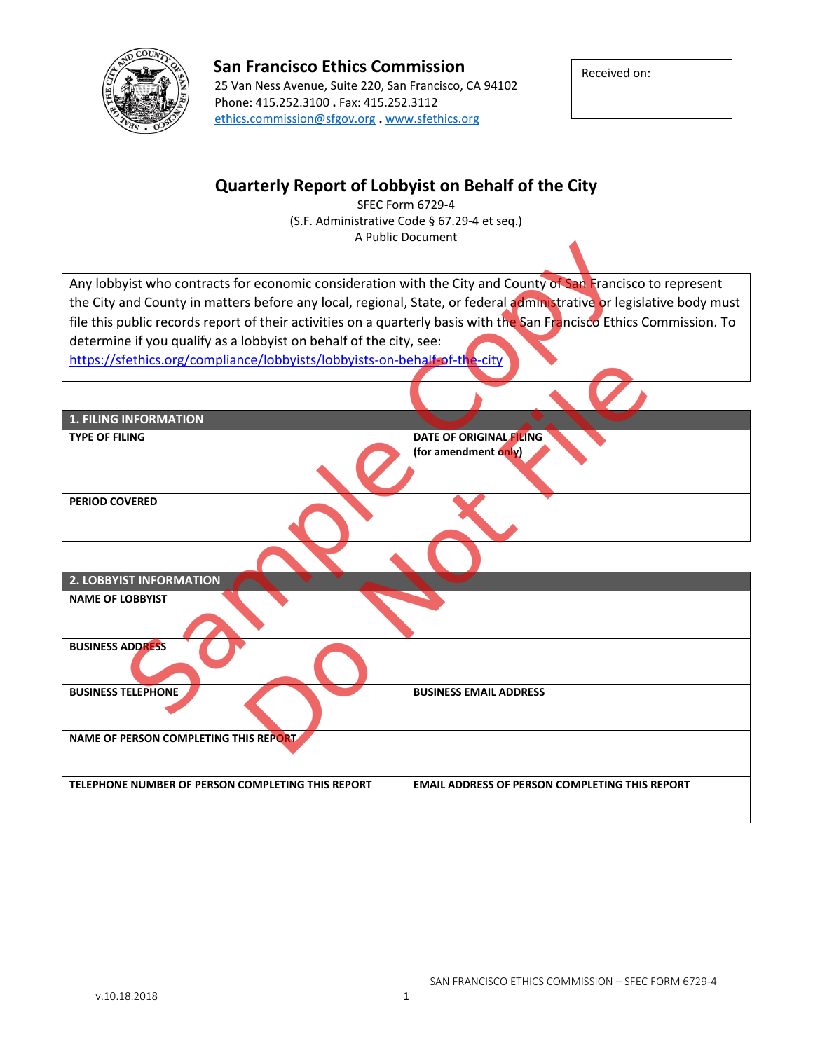

### **San Francisco Ethics Commission**

25 Van Ness Avenue, Suite 220, San Francisco, CA 94102 Phone: 415.252.3100 **.** Fax: 415.252.3112 [ethics.commission@sfgov.org](mailto:ethics.commission@sfgov.org) **.** [www.sfethics.org](http://www.sfethics.org/)

Received on:

## **Quarterly Report of Lobbyist on Behalf of the City**

SFEC Form 6729-4 (S.F. Administrative Code § 67.29-4 et seq.) A Public Document

Any lobbyist who contracts for economic consideration with the City and County of San Francisco to represent the City and County in matters before any local, regional, State, or federal administrative or legislative body must file this public records report of their activities on a quarterly basis with the San Francisco Ethics Commission. To determine if you qualify as a lobbyist on behalf of the city, see:

<https://sfethics.org/compliance/lobbyists/lobbyists-on-behalf-of-the-city>

| <b>1. FILING INFORMATION</b>                      |                                                       |
|---------------------------------------------------|-------------------------------------------------------|
| <b>TYPE OF FILING</b>                             | DATE OF ORIGINAL FILING<br>(for amendment only)       |
| <b>PERIOD COVERED</b>                             |                                                       |
|                                                   |                                                       |
| 2. LOBBYIST INFORMATION                           |                                                       |
| <b>NAME OF LOBBYIST</b>                           |                                                       |
| <b>BUSINESS ADDRESS</b>                           |                                                       |
| <b>BUSINESS TELEPHONE</b>                         | <b>BUSINESS EMAIL ADDRESS</b>                         |
| NAME OF PERSON COMPLETING THIS REPORT             |                                                       |
| TELEPHONE NUMBER OF PERSON COMPLETING THIS REPORT | <b>EMAIL ADDRESS OF PERSON COMPLETING THIS REPORT</b> |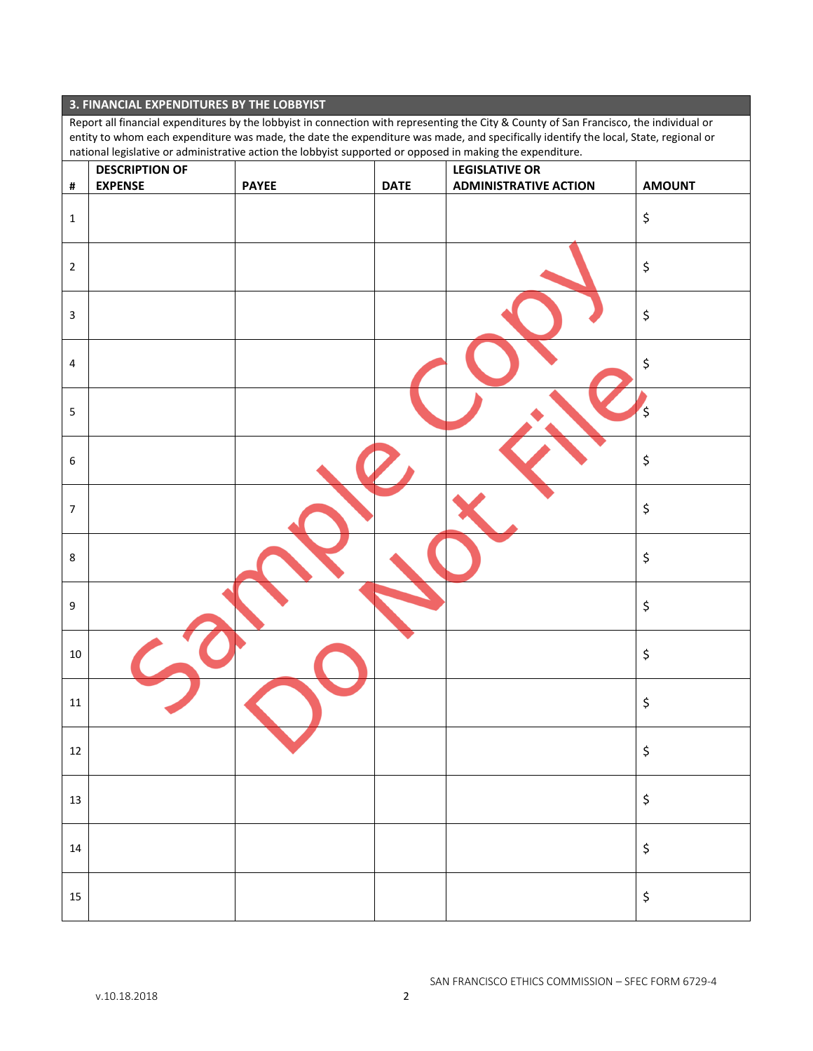#### **3. FINANCIAL EXPENDITURES BY THE LOBBYIST**

Report all financial expenditures by the lobbyist in connection with representing the City & County of San Francisco, the individual or entity to whom each expenditure was made, the date the expenditure was made, and specifically identify the local, State, regional or national legislative or administrative action the lobbyist supported or opposed in making the expenditure.

|                         | <b>DESCRIPTION OF</b> | . .          | $\cdot$ .   | $\sim$<br>$\mathcal{L}$<br><b>LEGISLATIVE OR</b> |                                |
|-------------------------|-----------------------|--------------|-------------|--------------------------------------------------|--------------------------------|
| $\pmb{\sharp}$          | <b>EXPENSE</b>        | <b>PAYEE</b> | <b>DATE</b> | <b>ADMINISTRATIVE ACTION</b>                     | <b>AMOUNT</b>                  |
| $1\,$                   |                       |              |             |                                                  | $\boldsymbol{\zeta}$           |
| $\mathbf 2$             |                       |              |             |                                                  | $\boldsymbol{\zeta}$           |
| $\overline{3}$          |                       |              |             |                                                  | $\boldsymbol{\zeta}$           |
| $\overline{4}$          |                       |              |             |                                                  | $\boldsymbol{\zeta}$           |
| $\overline{\mathbf{5}}$ |                       |              |             |                                                  | $\ddot{\varsigma}$             |
| $\boldsymbol{6}$        |                       |              |             |                                                  | $\boldsymbol{\zeta}$           |
| $\overline{7}$          |                       |              |             |                                                  | $\boldsymbol{\zeta}$           |
| $\bf 8$                 |                       |              |             |                                                  | $\boldsymbol{\zeta}$           |
| $9\,$                   |                       |              |             |                                                  | $\boldsymbol{\zeta}$           |
| $10\,$                  |                       |              |             |                                                  | $\boldsymbol{\zeta}$           |
| $11\,$                  |                       |              |             |                                                  | $\boldsymbol{\zeta}$           |
| $12\,$                  |                       |              |             |                                                  | \$                             |
| $13\,$                  |                       |              |             |                                                  | $\boldsymbol{\zeta}$           |
| $14\,$                  |                       |              |             |                                                  | $\boldsymbol{\dot{\varsigma}}$ |
| $15\,$                  |                       |              |             |                                                  | $\boldsymbol{\zeta}$           |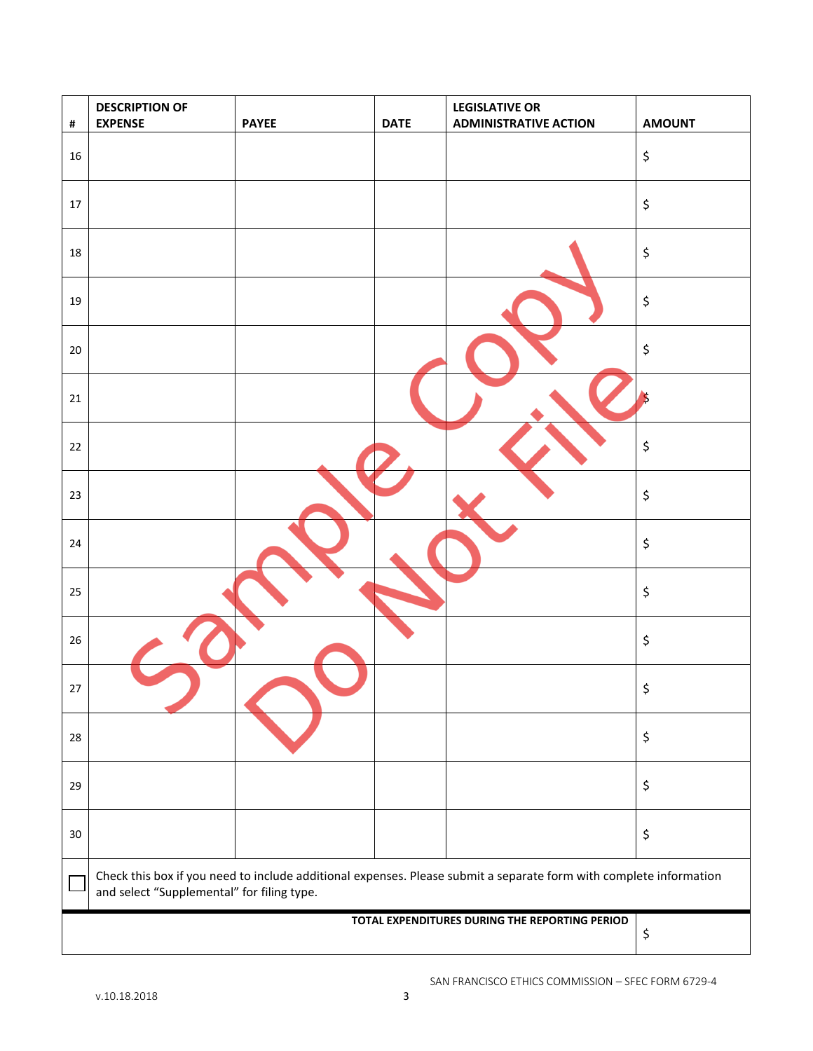| $\pmb{\sharp}$                                 | <b>DESCRIPTION OF</b><br><b>EXPENSE</b>                                                                                                                          | <b>PAYEE</b> | <b>DATE</b> | <b>LEGISLATIVE OR</b><br><b>ADMINISTRATIVE ACTION</b> | <b>AMOUNT</b> |  |
|------------------------------------------------|------------------------------------------------------------------------------------------------------------------------------------------------------------------|--------------|-------------|-------------------------------------------------------|---------------|--|
| 16                                             |                                                                                                                                                                  |              |             |                                                       | \$            |  |
| $17\,$                                         |                                                                                                                                                                  |              |             |                                                       | \$            |  |
| 18                                             |                                                                                                                                                                  |              |             |                                                       | \$            |  |
| 19                                             |                                                                                                                                                                  |              |             |                                                       | \$            |  |
| $20\,$                                         |                                                                                                                                                                  |              |             |                                                       | \$            |  |
| 21                                             |                                                                                                                                                                  |              |             |                                                       | S             |  |
| 22                                             |                                                                                                                                                                  |              |             |                                                       | \$            |  |
| 23                                             |                                                                                                                                                                  |              |             |                                                       | \$            |  |
| 24                                             |                                                                                                                                                                  |              |             |                                                       | \$            |  |
| 25                                             |                                                                                                                                                                  |              |             |                                                       | \$            |  |
| 26                                             |                                                                                                                                                                  |              |             |                                                       | \$            |  |
| $27\,$                                         |                                                                                                                                                                  |              |             |                                                       | \$            |  |
| 28                                             |                                                                                                                                                                  |              |             |                                                       | \$            |  |
| 29                                             |                                                                                                                                                                  |              |             |                                                       | \$            |  |
| $30\,$                                         |                                                                                                                                                                  |              |             |                                                       | \$            |  |
|                                                | Check this box if you need to include additional expenses. Please submit a separate form with complete information<br>and select "Supplemental" for filing type. |              |             |                                                       |               |  |
| TOTAL EXPENDITURES DURING THE REPORTING PERIOD |                                                                                                                                                                  |              |             | \$                                                    |               |  |